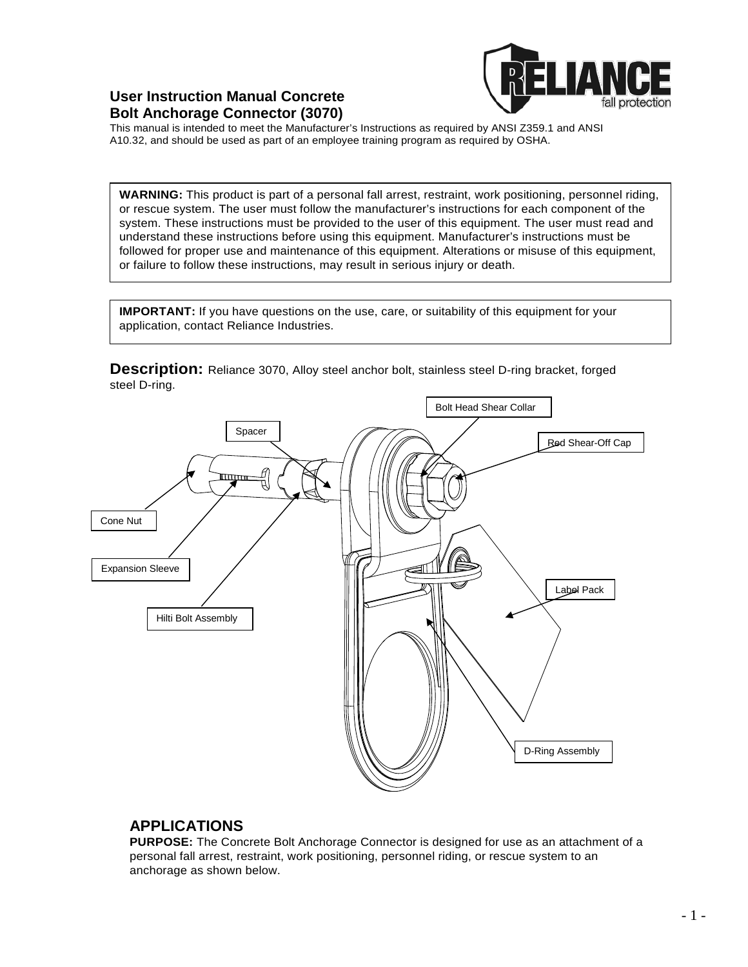

### **User Instruction Manual Concrete Bolt Anchorage Connector (3070)**

This manual is intended to meet the Manufacturer's Instructions as required by ANSI Z359.1 and ANSI A10.32, and should be used as part of an employee training program as required by OSHA.

**WARNING:** This product is part of a personal fall arrest, restraint, work positioning, personnel riding, or rescue system. The user must follow the manufacturer's instructions for each component of the system. These instructions must be provided to the user of this equipment. The user must read and understand these instructions before using this equipment. Manufacturer's instructions must be followed for proper use and maintenance of this equipment. Alterations or misuse of this equipment, or failure to follow these instructions, may result in serious injury or death.

**IMPORTANT:** If you have questions on the use, care, or suitability of this equipment for your application, contact Reliance Industries.

**Description:** Reliance 3070, Alloy steel anchor bolt, stainless steel D-ring bracket, forged steel D-ring.



### **APPLICATIONS**

**PURPOSE:** The Concrete Bolt Anchorage Connector is designed for use as an attachment of a personal fall arrest, restraint, work positioning, personnel riding, or rescue system to an anchorage as shown below.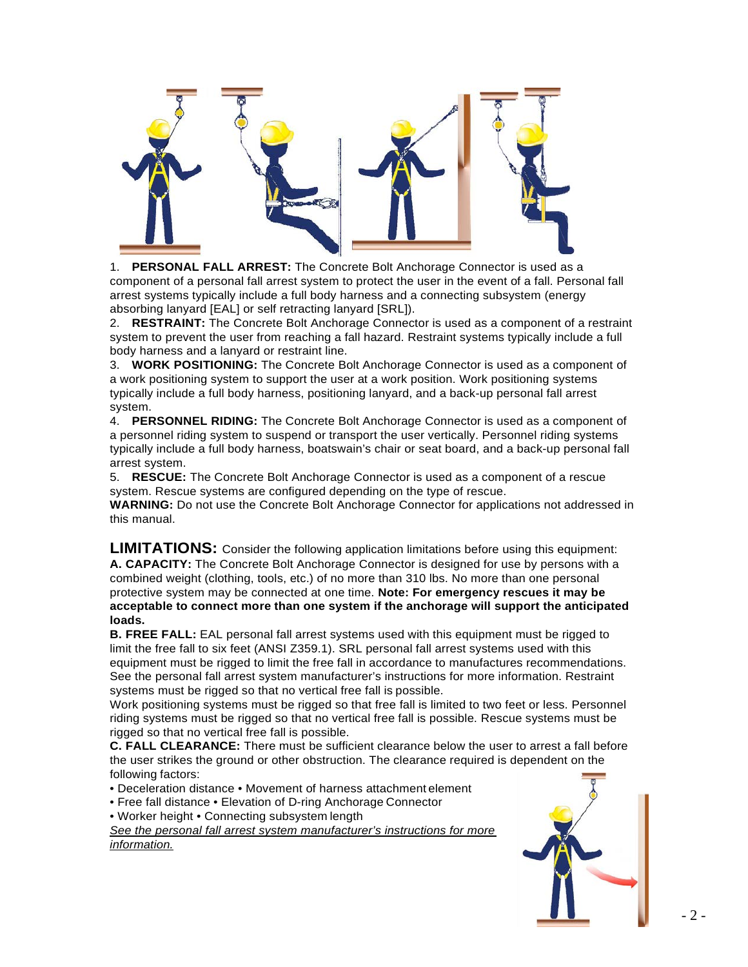

1. **PERSONAL FALL ARREST:** The Concrete Bolt Anchorage Connector is used as a component of a personal fall arrest system to protect the user in the event of a fall. Personal fall arrest systems typically include a full body harness and a connecting subsystem (energy absorbing lanyard [EAL] or self retracting lanyard [SRL]).

2. **RESTRAINT:** The Concrete Bolt Anchorage Connector is used as a component of a restraint system to prevent the user from reaching a fall hazard. Restraint systems typically include a full body harness and a lanyard or restraint line.

3. **WORK POSITIONING:** The Concrete Bolt Anchorage Connector is used as a component of a work positioning system to support the user at a work position. Work positioning systems typically include a full body harness, positioning lanyard, and a back-up personal fall arrest system.

4. **PERSONNEL RIDING:** The Concrete Bolt Anchorage Connector is used as a component of a personnel riding system to suspend or transport the user vertically. Personnel riding systems typically include a full body harness, boatswain's chair or seat board, and a back-up personal fall arrest system.

5. **RESCUE:** The Concrete Bolt Anchorage Connector is used as a component of a rescue system. Rescue systems are configured depending on the type of rescue.

**WARNING:** Do not use the Concrete Bolt Anchorage Connector for applications not addressed in this manual.

**LIMITATIONS:** Consider the following application limitations before using this equipment: **A. CAPACITY:** The Concrete Bolt Anchorage Connector is designed for use by persons with a combined weight (clothing, tools, etc.) of no more than 310 lbs. No more than one personal protective system may be connected at one time. **Note: For emergency rescues it may be acceptable to connect more than one system if the anchorage will support the anticipated loads.**

**B. FREE FALL:** EAL personal fall arrest systems used with this equipment must be rigged to limit the free fall to six feet (ANSI Z359.1). SRL personal fall arrest systems used with this equipment must be rigged to limit the free fall in accordance to manufactures recommendations. See the personal fall arrest system manufacturer's instructions for more information. Restraint systems must be rigged so that no vertical free fall is possible.

Work positioning systems must be rigged so that free fall is limited to two feet or less. Personnel riding systems must be rigged so that no vertical free fall is possible. Rescue systems must be rigged so that no vertical free fall is possible.

**C. FALL CLEARANCE:** There must be sufficient clearance below the user to arrest a fall before the user strikes the ground or other obstruction. The clearance required is dependent on the following factors:

- Deceleration distance Movement of harness attachment element
- Free fall distance Elevation of D-ring Anchorage Connector
- Worker height Connecting subsystem length

*See the personal fall arrest system manufacturer's instructions for more information.*

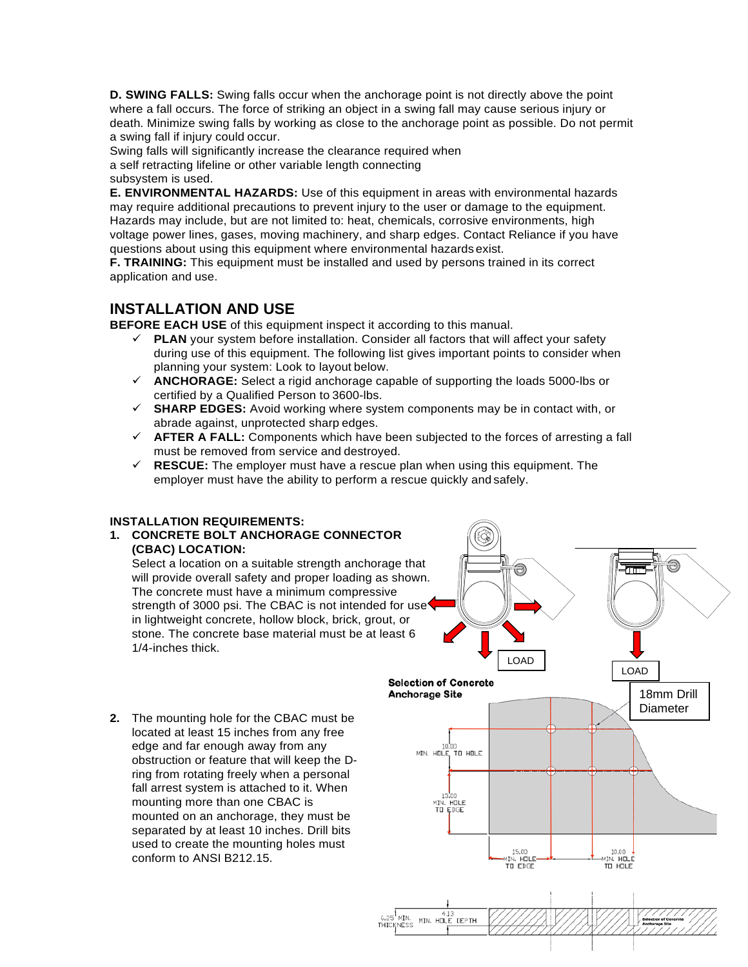**D. SWING FALLS:** Swing falls occur when the anchorage point is not directly above the point where a fall occurs. The force of striking an object in a swing fall may cause serious injury or death. Minimize swing falls by working as close to the anchorage point as possible. Do not permit a swing fall if injury could occur.

Swing falls will significantly increase the clearance required when a self retracting lifeline or other variable length connecting subsystem is used.

**E. ENVIRONMENTAL HAZARDS:** Use of this equipment in areas with environmental hazards may require additional precautions to prevent injury to the user or damage to the equipment. Hazards may include, but are not limited to: heat, chemicals, corrosive environments, high voltage power lines, gases, moving machinery, and sharp edges. Contact Reliance if you have questions about using this equipment where environmental hazards exist.

**F. TRAINING:** This equipment must be installed and used by persons trained in its correct application and use.

## **INSTALLATION AND USE**

**BEFORE EACH USE** of this equipment inspect it according to this manual.

- **PLAN** your system before installation. Consider all factors that will affect your safety during use of this equipment. The following list gives important points to consider when planning your system: Look to layout below.
- **ANCHORAGE:** Select a rigid anchorage capable of supporting the loads 5000-lbs or certified by a Qualified Person to 3600-lbs.
- **SHARP EDGES:** Avoid working where system components may be in contact with, or abrade against, unprotected sharp edges.
- **AFTER A FALL:** Components which have been subjected to the forces of arresting a fall must be removed from service and destroyed.
- **RESCUE:** The employer must have a rescue plan when using this equipment. The employer must have the ability to perform a rescue quickly and safely.

### **INSTALLATION REQUIREMENTS:**

#### **1. CONCRETE BOLT ANCHORAGE CONNECTOR (CBAC) LOCATION:**

Select a location on a suitable strength anchorage that will provide overall safety and proper loading as shown. The concrete must have a minimum compressive strength of 3000 psi. The CBAC is not intended for use in lightweight concrete, hollow block, brick, grout, or stone. The concrete base material must be at least 6 1/4-inches thick.

**2.** The mounting hole for the CBAC must be located at least 15 inches from any free edge and far enough away from any obstruction or feature that will keep the Dring from rotating freely when a personal fall arrest system is attached to it. When mounting more than one CBAC is mounted on an anchorage, they must be separated by at least 10 inches. Drill bits used to create the mounting holes must conform to ANSI B212.15.

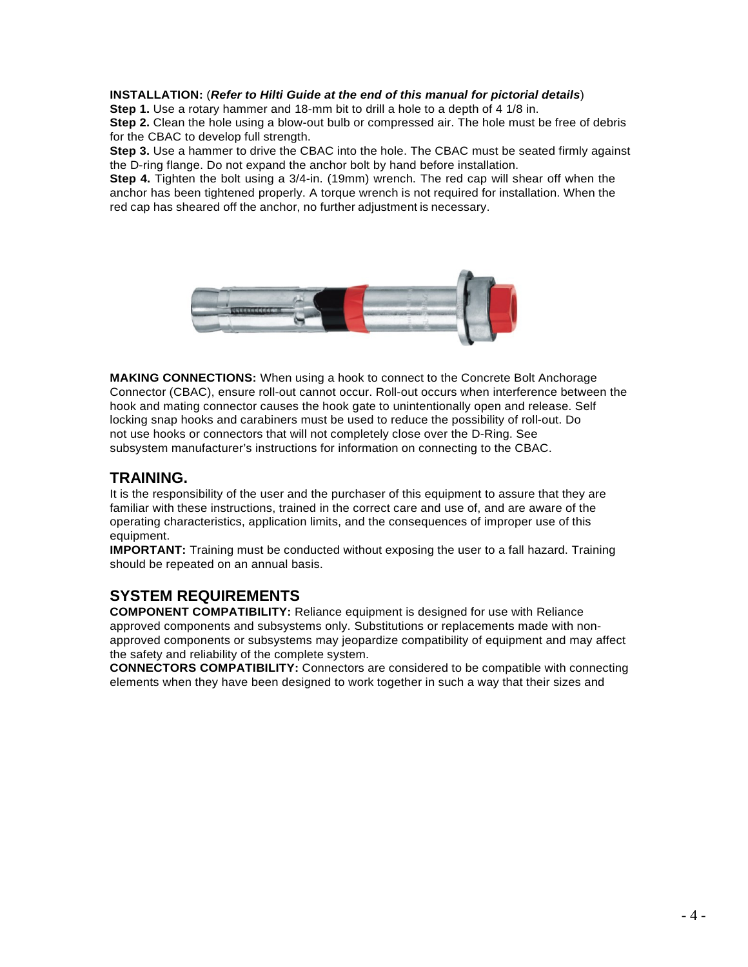#### **INSTALLATION:** (*Refer to Hilti Guide at the end of this manual for pictorial details*)

**Step 1.** Use a rotary hammer and 18-mm bit to drill a hole to a depth of 4 1/8 in.

**Step 2.** Clean the hole using a blow-out bulb or compressed air. The hole must be free of debris for the CBAC to develop full strength.

**Step 3.** Use a hammer to drive the CBAC into the hole. The CBAC must be seated firmly against the D-ring flange. Do not expand the anchor bolt by hand before installation.

**Step 4.** Tighten the bolt using a 3/4-in. (19mm) wrench. The red cap will shear off when the anchor has been tightened properly. A torque wrench is not required for installation. When the red cap has sheared off the anchor, no further adjustment is necessary.



**MAKING CONNECTIONS:** When using a hook to connect to the Concrete Bolt Anchorage Connector (CBAC), ensure roll-out cannot occur. Roll-out occurs when interference between the hook and mating connector causes the hook gate to unintentionally open and release. Self locking snap hooks and carabiners must be used to reduce the possibility of roll-out. Do not use hooks or connectors that will not completely close over the D-Ring. See subsystem manufacturer's instructions for information on connecting to the CBAC.

# **TRAINING.**

It is the responsibility of the user and the purchaser of this equipment to assure that they are familiar with these instructions, trained in the correct care and use of, and are aware of the operating characteristics, application limits, and the consequences of improper use of this equipment.

**IMPORTANT:** Training must be conducted without exposing the user to a fall hazard. Training should be repeated on an annual basis.

## **SYSTEM REQUIREMENTS**

**COMPONENT COMPATIBILITY:** Reliance equipment is designed for use with Reliance approved components and subsystems only. Substitutions or replacements made with nonapproved components or subsystems may jeopardize compatibility of equipment and may affect the safety and reliability of the complete system.

**CONNECTORS COMPATIBILITY:** Connectors are considered to be compatible with connecting elements when they have been designed to work together in such a way that their sizes and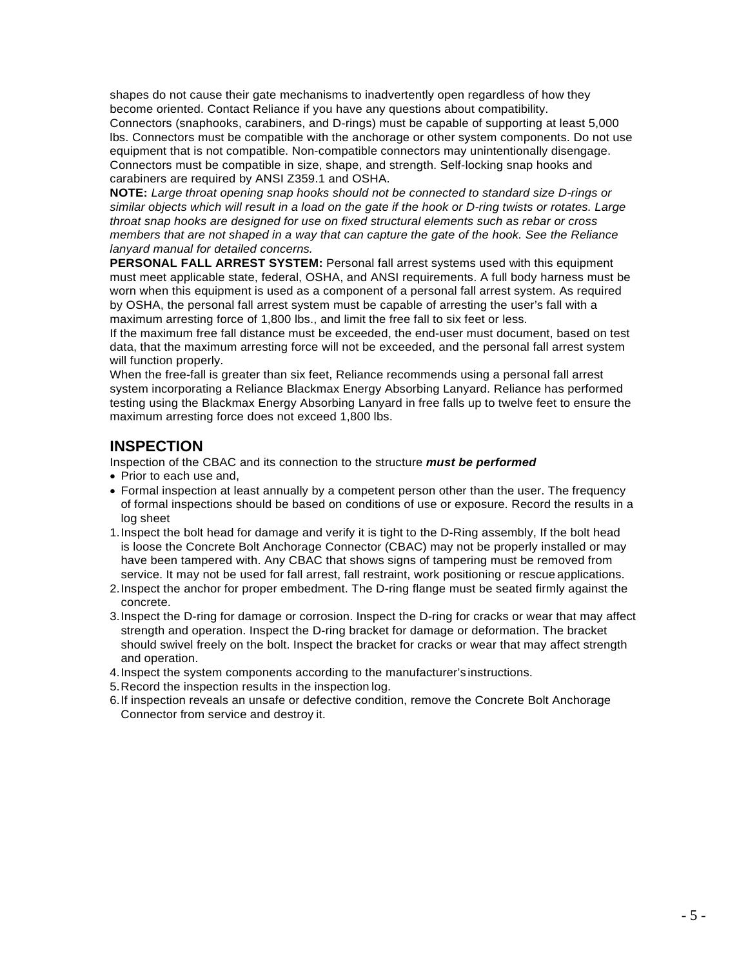shapes do not cause their gate mechanisms to inadvertently open regardless of how they become oriented. Contact Reliance if you have any questions about compatibility. Connectors (snaphooks, carabiners, and D-rings) must be capable of supporting at least 5,000 lbs. Connectors must be compatible with the anchorage or other system components. Do not use equipment that is not compatible. Non-compatible connectors may unintentionally disengage. Connectors must be compatible in size, shape, and strength. Self-locking snap hooks and carabiners are required by ANSI Z359.1 and OSHA.

**NOTE:** *Large throat opening snap hooks should not be connected to standard size D-rings or similar objects which will result in a load on the gate if the hook or D-ring twists or rotates. Large throat snap hooks are designed for use on fixed structural elements such as rebar or cross members that are not shaped in a way that can capture the gate of the hook. See the Reliance lanyard manual for detailed concerns.*

**PERSONAL FALL ARREST SYSTEM:** Personal fall arrest systems used with this equipment must meet applicable state, federal, OSHA, and ANSI requirements. A full body harness must be worn when this equipment is used as a component of a personal fall arrest system. As required by OSHA, the personal fall arrest system must be capable of arresting the user's fall with a maximum arresting force of 1,800 lbs., and limit the free fall to six feet or less.

If the maximum free fall distance must be exceeded, the end-user must document, based on test data, that the maximum arresting force will not be exceeded, and the personal fall arrest system will function properly.

When the free-fall is greater than six feet, Reliance recommends using a personal fall arrest system incorporating a Reliance Blackmax Energy Absorbing Lanyard. Reliance has performed testing using the Blackmax Energy Absorbing Lanyard in free falls up to twelve feet to ensure the maximum arresting force does not exceed 1,800 lbs.

### **INSPECTION**

Inspection of the CBAC and its connection to the structure *must be performed*

- Prior to each use and,
- Formal inspection at least annually by a competent person other than the user. The frequency of formal inspections should be based on conditions of use or exposure. Record the results in a log sheet
- 1.Inspect the bolt head for damage and verify it is tight to the D-Ring assembly, If the bolt head is loose the Concrete Bolt Anchorage Connector (CBAC) may not be properly installed or may have been tampered with. Any CBAC that shows signs of tampering must be removed from service. It may not be used for fall arrest, fall restraint, work positioning or rescue applications.
- 2.Inspect the anchor for proper embedment. The D-ring flange must be seated firmly against the concrete.
- 3.Inspect the D-ring for damage or corrosion. Inspect the D-ring for cracks or wear that may affect strength and operation. Inspect the D-ring bracket for damage or deformation. The bracket should swivel freely on the bolt. Inspect the bracket for cracks or wear that may affect strength and operation.
- 4.Inspect the system components according to the manufacturer's instructions.
- 5.Record the inspection results in the inspection log.
- 6.If inspection reveals an unsafe or defective condition, remove the Concrete Bolt Anchorage Connector from service and destroy it.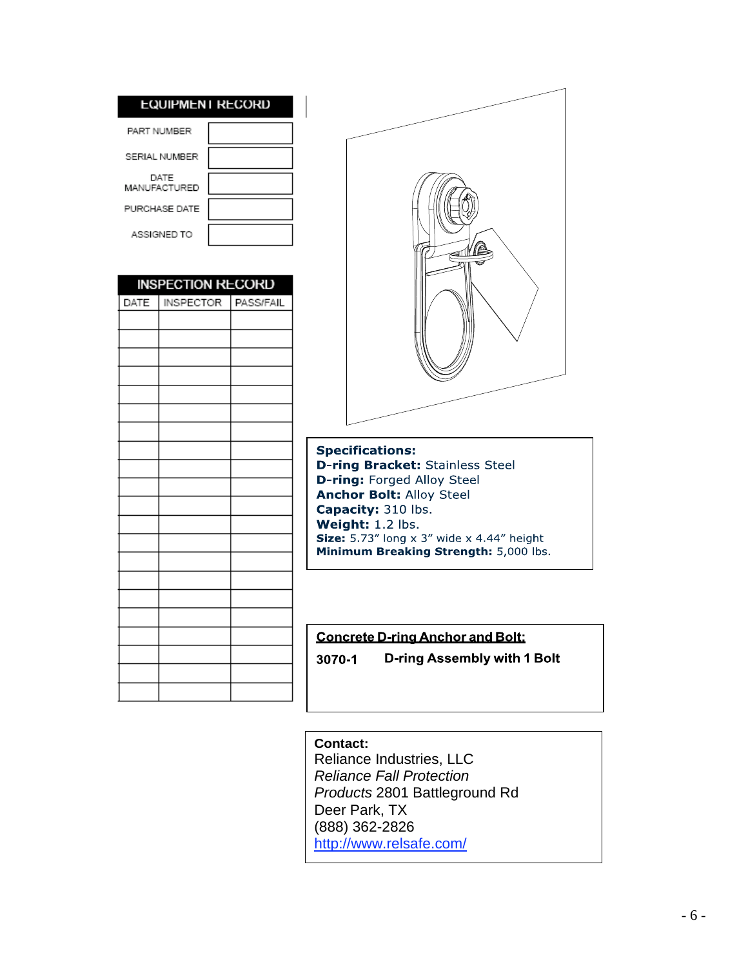|               |                      | <b>EQUIPMENT RECORD</b>  |           |                                             |
|---------------|----------------------|--------------------------|-----------|---------------------------------------------|
|               |                      | PART NUMBER              |           |                                             |
|               | SERIAL NUMBER        |                          |           |                                             |
|               | DATE<br>MANUFACTURED |                          |           |                                             |
| PURCHASE DATE |                      |                          |           |                                             |
| ASSIGNED TO   |                      |                          |           |                                             |
|               |                      | <b>INSPECTION RECORD</b> |           |                                             |
|               | DATE                 | INSPECTOR                | PASS/FAIL |                                             |
|               |                      |                          |           |                                             |
|               |                      |                          |           |                                             |
|               |                      |                          |           |                                             |
|               |                      |                          |           |                                             |
|               |                      |                          |           |                                             |
|               |                      |                          |           | <b>Specifications:</b>                      |
|               |                      |                          |           | D-ring Bracket: Sta<br>D-ring: Forged Alloy |
|               |                      |                          |           | <b>Anchor Bolt: Alloy</b>                   |
|               |                      |                          |           | Capacity: 310 lbs.                          |
|               |                      |                          |           | Weight: 1.2 lbs.<br>Size: 5.73" long x 3" v |
|               |                      |                          |           | <b>Minimum Breaking S</b>                   |
|               |                      |                          |           |                                             |
|               |                      |                          |           |                                             |
|               |                      |                          |           |                                             |
|               |                      |                          |           | <b>Concrete D-ring And</b>                  |
|               |                      |                          |           | D-ring As<br>3070-1                         |
|               |                      |                          |           |                                             |
|               |                      |                          |           |                                             |



ainless Steel v Steel Steel wide x 4.44" height<br>**Strength:** 5,000 lbs.

## chor and Bolt:

ssembly with 1 Bolt

**Contact:** Reliance Industries, LLC *Reliance Fall Protection Products* 2801 Battleground Rd Deer Park, TX (888) 362-2826 <http://www.relsafe.com/>